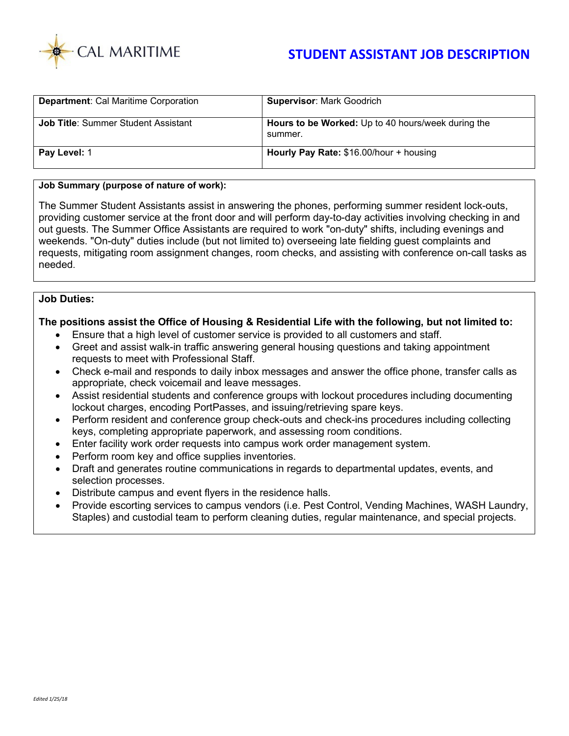

# **STUDENT ASSISTANT JOB DESCRIPTION**

| <b>Department: Cal Maritime Corporation</b> | <b>Supervisor: Mark Goodrich</b>                              |
|---------------------------------------------|---------------------------------------------------------------|
| <b>Job Title: Summer Student Assistant</b>  | Hours to be Worked: Up to 40 hours/week during the<br>summer. |
| Pay Level: 1                                | Hourly Pay Rate: \$16.00/hour + housing                       |

#### **Job Summary (purpose of nature of work):**

The Summer Student Assistants assist in answering the phones, performing summer resident lock-outs, providing customer service at the front door and will perform day-to-day activities involving checking in and out guests. The Summer Office Assistants are required to work "on-duty" shifts, including evenings and weekends. "On-duty" duties include (but not limited to) overseeing late fielding guest complaints and requests, mitigating room assignment changes, room checks, and assisting with conference on-call tasks as needed.

### **Job Duties:**

#### **The positions assist the Office of Housing & Residential Life with the following, but not limited to:**

- Ensure that a high level of customer service is provided to all customers and staff.
- Greet and assist walk-in traffic answering general housing questions and taking appointment requests to meet with Professional Staff.
- Check e-mail and responds to daily inbox messages and answer the office phone, transfer calls as appropriate, check voicemail and leave messages.
- Assist residential students and conference groups with lockout procedures including documenting lockout charges, encoding PortPasses, and issuing/retrieving spare keys.
- Perform resident and conference group check-outs and check-ins procedures including collecting keys, completing appropriate paperwork, and assessing room conditions.
- Enter facility work order requests into campus work order management system.
- Perform room key and office supplies inventories.
- Draft and generates routine communications in regards to departmental updates, events, and selection processes.
- Distribute campus and event flyers in the residence halls.
- Provide escorting services to campus vendors (i.e. Pest Control, Vending Machines, WASH Laundry, Staples) and custodial team to perform cleaning duties, regular maintenance, and special projects.